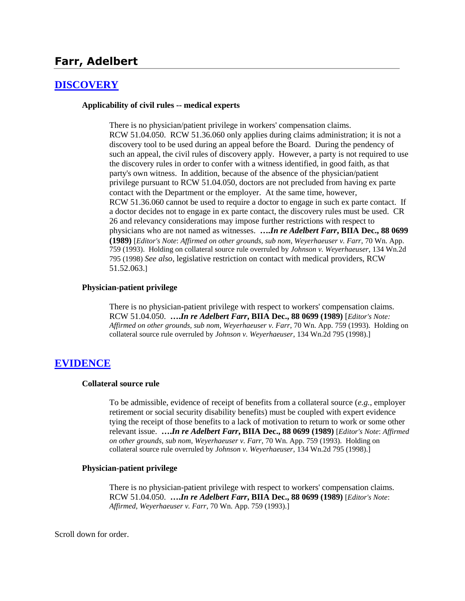# **Farr, Adelbert**

### **[DISCOVERY](http://www.biia.wa.gov/SDSubjectIndex.html#DISCOVERYFITS)**

#### **Applicability of civil rules -- medical experts**

There is no physician/patient privilege in workers' compensation claims. RCW 51.04.050. RCW 51.36.060 only applies during claims administration; it is not a discovery tool to be used during an appeal before the Board. During the pendency of such an appeal, the civil rules of discovery apply. However, a party is not required to use the discovery rules in order to confer with a witness identified, in good faith, as that party's own witness. In addition, because of the absence of the physician/patient privilege pursuant to RCW 51.04.050, doctors are not precluded from having ex parte contact with the Department or the employer. At the same time, however, RCW 51.36.060 cannot be used to require a doctor to engage in such ex parte contact. If a doctor decides not to engage in ex parte contact, the discovery rules must be used. CR 26 and relevancy considerations may impose further restrictions with respect to physicians who are not named as witnesses. **….***In re Adelbert Farr***, BIIA Dec., 88 0699 (1989)** [*Editor's Note*: *Affirmed on other grounds, sub nom*, *Weyerhaeuser v. Farr*, 70 Wn. App. 759 (1993). Holding on collateral source rule overruled by *Johnson v. Weyerhaeuser*, 134 Wn.2d 795 (1998) *See also*, legislative restriction on contact with medical providers, RCW 51.52.063.]

#### **Physician-patient privilege**

There is no physician-patient privilege with respect to workers' compensation claims. RCW 51.04.050. **….***In re Adelbert Farr***, BIIA Dec., 88 0699 (1989)** [*Editor's Note: Affirmed on other grounds, sub nom*, *Weyerhaeuser v. Farr*, 70 Wn. App. 759 (1993). Holding on collateral source rule overruled by *Johnson v. Weyerhaeuser*, 134 Wn.2d 795 (1998).]

#### **[EVIDENCE](http://www.biia.wa.gov/SDSubjectIndex.html#EVIDENCE)**

#### **Collateral source rule**

To be admissible, evidence of receipt of benefits from a collateral source (*e.g.*, employer retirement or social security disability benefits) must be coupled with expert evidence tying the receipt of those benefits to a lack of motivation to return to work or some other relevant issue. **….***In re Adelbert Farr***, BIIA Dec., 88 0699 (1989)** [*Editor's Note*: *Affirmed on other grounds, sub nom*, *Weyerhaeuser v. Farr*, 70 Wn. App. 759 (1993). Holding on collateral source rule overruled by *Johnson v. Weyerhaeuser*, 134 Wn.2d 795 (1998).]

#### **Physician-patient privilege**

There is no physician-patient privilege with respect to workers' compensation claims. RCW 51.04.050. **….***In re Adelbert Farr***, BIIA Dec., 88 0699 (1989)** [*Editor's Note*: *Affirmed*, *Weyerhaeuser v. Farr*, 70 Wn. App. 759 (1993).]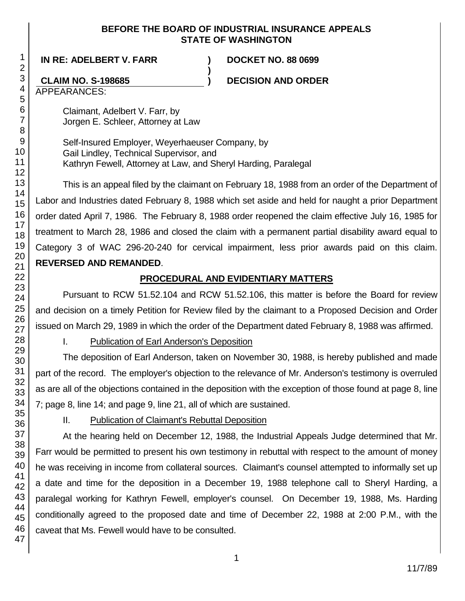### **BEFORE THE BOARD OF INDUSTRIAL INSURANCE APPEALS STATE OF WASHINGTON**

**)**

**IN RE: ADELBERT V. FARR ) DOCKET NO. 88 0699**

# **CLAIM NO. S-198685 ) DECISION AND ORDER**

APPEARANCES:

Claimant, Adelbert V. Farr, by Jorgen E. Schleer, Attorney at Law

Self-Insured Employer, Weyerhaeuser Company, by Gail Lindley, Technical Supervisor, and Kathryn Fewell, Attorney at Law, and Sheryl Harding, Paralegal

This is an appeal filed by the claimant on February 18, 1988 from an order of the Department of Labor and Industries dated February 8, 1988 which set aside and held for naught a prior Department order dated April 7, 1986. The February 8, 1988 order reopened the claim effective July 16, 1985 for treatment to March 28, 1986 and closed the claim with a permanent partial disability award equal to Category 3 of WAC 296-20-240 for cervical impairment, less prior awards paid on this claim. **REVERSED AND REMANDED**.

# **PROCEDURAL AND EVIDENTIARY MATTERS**

Pursuant to RCW 51.52.104 and RCW 51.52.106, this matter is before the Board for review and decision on a timely Petition for Review filed by the claimant to a Proposed Decision and Order issued on March 29, 1989 in which the order of the Department dated February 8, 1988 was affirmed.

I. Publication of Earl Anderson's Deposition

The deposition of Earl Anderson, taken on November 30, 1988, is hereby published and made part of the record. The employer's objection to the relevance of Mr. Anderson's testimony is overruled as are all of the objections contained in the deposition with the exception of those found at page 8, line 7; page 8, line 14; and page 9, line 21, all of which are sustained.

II. Publication of Claimant's Rebuttal Deposition

At the hearing held on December 12, 1988, the Industrial Appeals Judge determined that Mr. Farr would be permitted to present his own testimony in rebuttal with respect to the amount of money he was receiving in income from collateral sources. Claimant's counsel attempted to informally set up a date and time for the deposition in a December 19, 1988 telephone call to Sheryl Harding, a paralegal working for Kathryn Fewell, employer's counsel. On December 19, 1988, Ms. Harding conditionally agreed to the proposed date and time of December 22, 1988 at 2:00 P.M., with the caveat that Ms. Fewell would have to be consulted.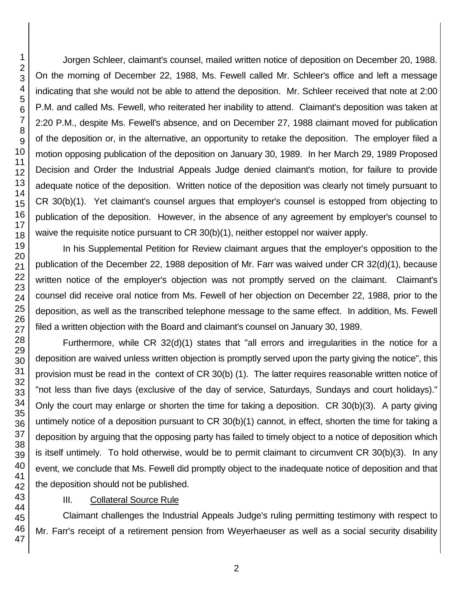Jorgen Schleer, claimant's counsel, mailed written notice of deposition on December 20, 1988. On the morning of December 22, 1988, Ms. Fewell called Mr. Schleer's office and left a message indicating that she would not be able to attend the deposition. Mr. Schleer received that note at 2:00 P.M. and called Ms. Fewell, who reiterated her inability to attend. Claimant's deposition was taken at 2:20 P.M., despite Ms. Fewell's absence, and on December 27, 1988 claimant moved for publication of the deposition or, in the alternative, an opportunity to retake the deposition. The employer filed a motion opposing publication of the deposition on January 30, 1989. In her March 29, 1989 Proposed Decision and Order the Industrial Appeals Judge denied claimant's motion, for failure to provide adequate notice of the deposition. Written notice of the deposition was clearly not timely pursuant to CR 30(b)(1). Yet claimant's counsel argues that employer's counsel is estopped from objecting to publication of the deposition. However, in the absence of any agreement by employer's counsel to waive the requisite notice pursuant to CR 30(b)(1), neither estoppel nor waiver apply.

In his Supplemental Petition for Review claimant argues that the employer's opposition to the publication of the December 22, 1988 deposition of Mr. Farr was waived under CR 32(d)(1), because written notice of the employer's objection was not promptly served on the claimant. Claimant's counsel did receive oral notice from Ms. Fewell of her objection on December 22, 1988, prior to the deposition, as well as the transcribed telephone message to the same effect. In addition, Ms. Fewell filed a written objection with the Board and claimant's counsel on January 30, 1989.

Furthermore, while CR 32(d)(1) states that "all errors and irregularities in the notice for a deposition are waived unless written objection is promptly served upon the party giving the notice", this provision must be read in the context of CR 30(b) (1). The latter requires reasonable written notice of "not less than five days (exclusive of the day of service, Saturdays, Sundays and court holidays)." Only the court may enlarge or shorten the time for taking a deposition. CR 30(b)(3). A party giving untimely notice of a deposition pursuant to CR 30(b)(1) cannot, in effect, shorten the time for taking a deposition by arguing that the opposing party has failed to timely object to a notice of deposition which is itself untimely. To hold otherwise, would be to permit claimant to circumvent CR 30(b)(3). In any event, we conclude that Ms. Fewell did promptly object to the inadequate notice of deposition and that the deposition should not be published.

### III. Collateral Source Rule

Claimant challenges the Industrial Appeals Judge's ruling permitting testimony with respect to Mr. Farr's receipt of a retirement pension from Weyerhaeuser as well as a social security disability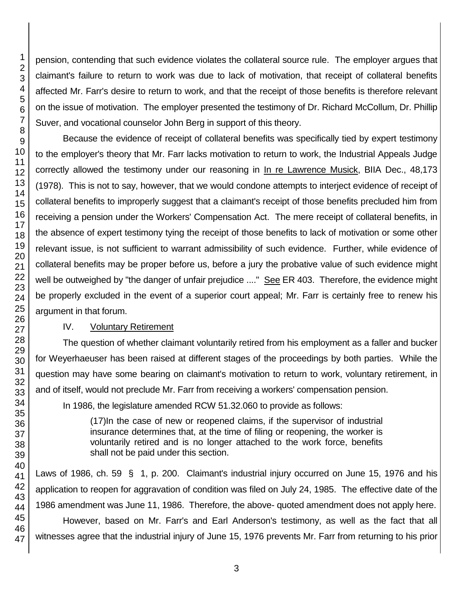pension, contending that such evidence violates the collateral source rule. The employer argues that claimant's failure to return to work was due to lack of motivation, that receipt of collateral benefits affected Mr. Farr's desire to return to work, and that the receipt of those benefits is therefore relevant on the issue of motivation. The employer presented the testimony of Dr. Richard McCollum, Dr. Phillip Suver, and vocational counselor John Berg in support of this theory.

Because the evidence of receipt of collateral benefits was specifically tied by expert testimony to the employer's theory that Mr. Farr lacks motivation to return to work, the Industrial Appeals Judge correctly allowed the testimony under our reasoning in In re Lawrence Musick, BIIA Dec., 48,173 (1978). This is not to say, however, that we would condone attempts to interject evidence of receipt of collateral benefits to improperly suggest that a claimant's receipt of those benefits precluded him from receiving a pension under the Workers' Compensation Act. The mere receipt of collateral benefits, in the absence of expert testimony tying the receipt of those benefits to lack of motivation or some other relevant issue, is not sufficient to warrant admissibility of such evidence. Further, while evidence of collateral benefits may be proper before us, before a jury the probative value of such evidence might well be outweighed by "the danger of unfair prejudice ...." See ER 403. Therefore, the evidence might be properly excluded in the event of a superior court appeal; Mr. Farr is certainly free to renew his argument in that forum.

## IV. Voluntary Retirement

The question of whether claimant voluntarily retired from his employment as a faller and bucker for Weyerhaeuser has been raised at different stages of the proceedings by both parties. While the question may have some bearing on claimant's motivation to return to work, voluntary retirement, in and of itself, would not preclude Mr. Farr from receiving a workers' compensation pension.

In 1986, the legislature amended RCW 51.32.060 to provide as follows:

(17)In the case of new or reopened claims, if the supervisor of industrial insurance determines that, at the time of filing or reopening, the worker is voluntarily retired and is no longer attached to the work force, benefits shall not be paid under this section.

Laws of 1986, ch. 59 § 1, p. 200. Claimant's industrial injury occurred on June 15, 1976 and his application to reopen for aggravation of condition was filed on July 24, 1985. The effective date of the 1986 amendment was June 11, 1986. Therefore, the above- quoted amendment does not apply here.

However, based on Mr. Farr's and Earl Anderson's testimony, as well as the fact that all witnesses agree that the industrial injury of June 15, 1976 prevents Mr. Farr from returning to his prior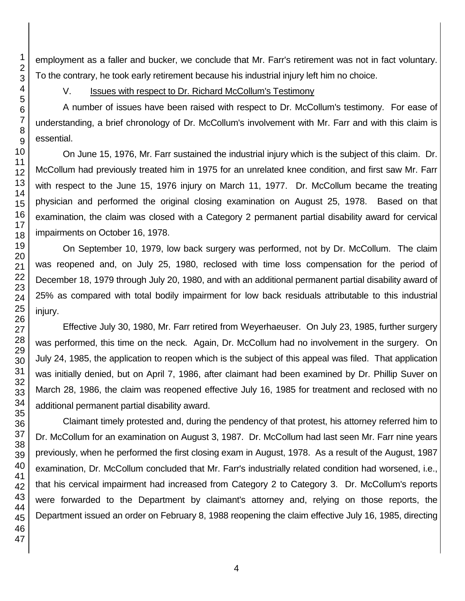employment as a faller and bucker, we conclude that Mr. Farr's retirement was not in fact voluntary. To the contrary, he took early retirement because his industrial injury left him no choice.

# V. **Issues with respect to Dr. Richard McCollum's Testimony**

A number of issues have been raised with respect to Dr. McCollum's testimony. For ease of understanding, a brief chronology of Dr. McCollum's involvement with Mr. Farr and with this claim is essential.

On June 15, 1976, Mr. Farr sustained the industrial injury which is the subject of this claim. Dr. McCollum had previously treated him in 1975 for an unrelated knee condition, and first saw Mr. Farr with respect to the June 15, 1976 injury on March 11, 1977. Dr. McCollum became the treating physician and performed the original closing examination on August 25, 1978. Based on that examination, the claim was closed with a Category 2 permanent partial disability award for cervical impairments on October 16, 1978.

On September 10, 1979, low back surgery was performed, not by Dr. McCollum. The claim was reopened and, on July 25, 1980, reclosed with time loss compensation for the period of December 18, 1979 through July 20, 1980, and with an additional permanent partial disability award of 25% as compared with total bodily impairment for low back residuals attributable to this industrial injury.

Effective July 30, 1980, Mr. Farr retired from Weyerhaeuser. On July 23, 1985, further surgery was performed, this time on the neck. Again, Dr. McCollum had no involvement in the surgery. On July 24, 1985, the application to reopen which is the subject of this appeal was filed. That application was initially denied, but on April 7, 1986, after claimant had been examined by Dr. Phillip Suver on March 28, 1986, the claim was reopened effective July 16, 1985 for treatment and reclosed with no additional permanent partial disability award.

Claimant timely protested and, during the pendency of that protest, his attorney referred him to Dr. McCollum for an examination on August 3, 1987. Dr. McCollum had last seen Mr. Farr nine years previously, when he performed the first closing exam in August, 1978. As a result of the August, 1987 examination, Dr. McCollum concluded that Mr. Farr's industrially related condition had worsened, i.e., that his cervical impairment had increased from Category 2 to Category 3. Dr. McCollum's reports were forwarded to the Department by claimant's attorney and, relying on those reports, the Department issued an order on February 8, 1988 reopening the claim effective July 16, 1985, directing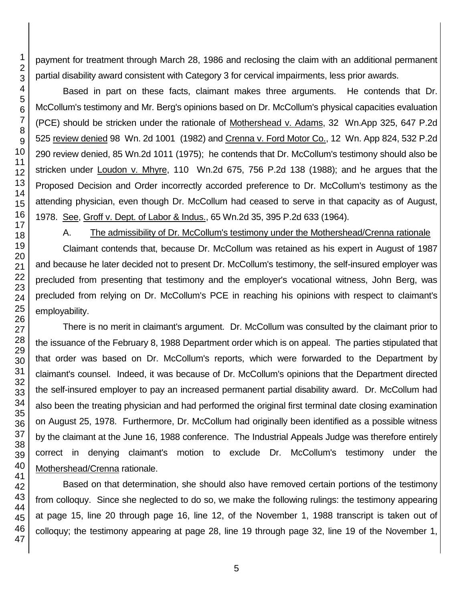payment for treatment through March 28, 1986 and reclosing the claim with an additional permanent partial disability award consistent with Category 3 for cervical impairments, less prior awards.

Based in part on these facts, claimant makes three arguments. He contends that Dr. McCollum's testimony and Mr. Berg's opinions based on Dr. McCollum's physical capacities evaluation (PCE) should be stricken under the rationale of Mothershead v. Adams, 32 Wn.App 325, 647 P.2d 525 review denied 98 Wn. 2d 1001 (1982) and Crenna v. Ford Motor Co., 12 Wn. App 824, 532 P.2d 290 review denied, 85 Wn.2d 1011 (1975); he contends that Dr. McCollum's testimony should also be stricken under Loudon v. Mhyre, 110 Wn.2d 675, 756 P.2d 138 (1988); and he argues that the Proposed Decision and Order incorrectly accorded preference to Dr. McCollum's testimony as the attending physician, even though Dr. McCollum had ceased to serve in that capacity as of August, 1978. See, Groff v. Dept. of Labor & Indus., 65 Wn.2d 35, 395 P.2d 633 (1964).

A. The admissibility of Dr. McCollum's testimony under the Mothershead/Crenna rationale

Claimant contends that, because Dr. McCollum was retained as his expert in August of 1987 and because he later decided not to present Dr. McCollum's testimony, the self-insured employer was precluded from presenting that testimony and the employer's vocational witness, John Berg, was precluded from relying on Dr. McCollum's PCE in reaching his opinions with respect to claimant's employability.

There is no merit in claimant's argument. Dr. McCollum was consulted by the claimant prior to the issuance of the February 8, 1988 Department order which is on appeal. The parties stipulated that that order was based on Dr. McCollum's reports, which were forwarded to the Department by claimant's counsel. Indeed, it was because of Dr. McCollum's opinions that the Department directed the self-insured employer to pay an increased permanent partial disability award. Dr. McCollum had also been the treating physician and had performed the original first terminal date closing examination on August 25, 1978. Furthermore, Dr. McCollum had originally been identified as a possible witness by the claimant at the June 16, 1988 conference. The Industrial Appeals Judge was therefore entirely correct in denying claimant's motion to exclude Dr. McCollum's testimony under the Mothershead/Crenna rationale.

Based on that determination, she should also have removed certain portions of the testimony from colloquy. Since she neglected to do so, we make the following rulings: the testimony appearing at page 15, line 20 through page 16, line 12, of the November 1, 1988 transcript is taken out of colloquy; the testimony appearing at page 28, line 19 through page 32, line 19 of the November 1,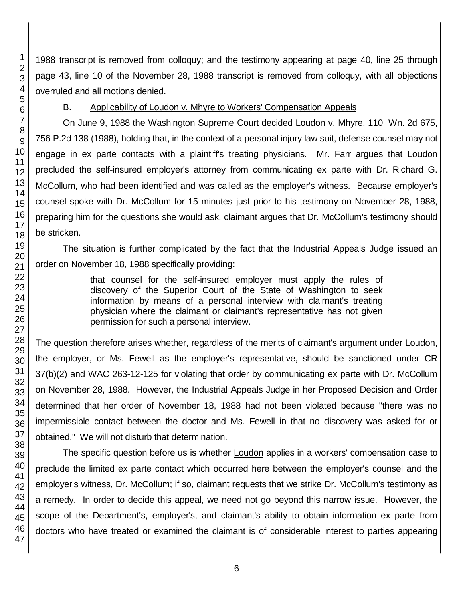1988 transcript is removed from colloquy; and the testimony appearing at page 40, line 25 through page 43, line 10 of the November 28, 1988 transcript is removed from colloquy, with all objections overruled and all motions denied.

## B. Applicability of Loudon v. Mhyre to Workers' Compensation Appeals

On June 9, 1988 the Washington Supreme Court decided Loudon v. Mhyre, 110 Wn. 2d 675, 756 P.2d 138 (1988), holding that, in the context of a personal injury law suit, defense counsel may not engage in ex parte contacts with a plaintiff's treating physicians. Mr. Farr argues that Loudon precluded the self-insured employer's attorney from communicating ex parte with Dr. Richard G. McCollum, who had been identified and was called as the employer's witness. Because employer's counsel spoke with Dr. McCollum for 15 minutes just prior to his testimony on November 28, 1988, preparing him for the questions she would ask, claimant argues that Dr. McCollum's testimony should be stricken.

The situation is further complicated by the fact that the Industrial Appeals Judge issued an order on November 18, 1988 specifically providing:

> that counsel for the self-insured employer must apply the rules of discovery of the Superior Court of the State of Washington to seek information by means of a personal interview with claimant's treating physician where the claimant or claimant's representative has not given permission for such a personal interview.

The question therefore arises whether, regardless of the merits of claimant's argument under Loudon, the employer, or Ms. Fewell as the employer's representative, should be sanctioned under CR 37(b)(2) and WAC 263-12-125 for violating that order by communicating ex parte with Dr. McCollum on November 28, 1988. However, the Industrial Appeals Judge in her Proposed Decision and Order determined that her order of November 18, 1988 had not been violated because "there was no impermissible contact between the doctor and Ms. Fewell in that no discovery was asked for or obtained." We will not disturb that determination.

The specific question before us is whether Loudon applies in a workers' compensation case to preclude the limited ex parte contact which occurred here between the employer's counsel and the employer's witness, Dr. McCollum; if so, claimant requests that we strike Dr. McCollum's testimony as a remedy. In order to decide this appeal, we need not go beyond this narrow issue. However, the scope of the Department's, employer's, and claimant's ability to obtain information ex parte from doctors who have treated or examined the claimant is of considerable interest to parties appearing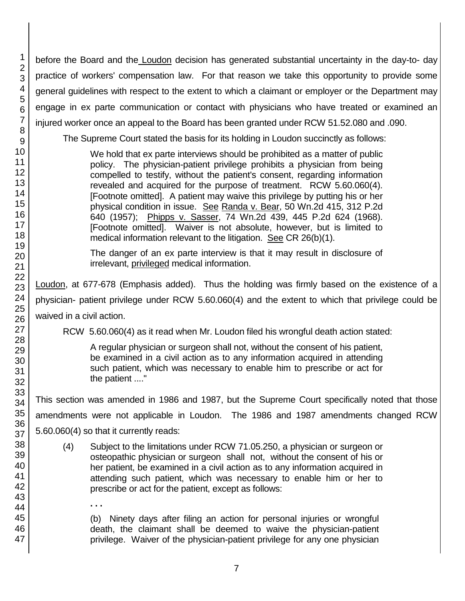before the Board and the Loudon decision has generated substantial uncertainty in the day-to- day practice of workers' compensation law. For that reason we take this opportunity to provide some general guidelines with respect to the extent to which a claimant or employer or the Department may engage in ex parte communication or contact with physicians who have treated or examined an injured worker once an appeal to the Board has been granted under RCW 51.52.080 and .090.

The Supreme Court stated the basis for its holding in Loudon succinctly as follows:

We hold that ex parte interviews should be prohibited as a matter of public policy. The physician-patient privilege prohibits a physician from being compelled to testify, without the patient's consent, regarding information revealed and acquired for the purpose of treatment. RCW 5.60.060(4). [Footnote omitted]. A patient may waive this privilege by putting his or her physical condition in issue. See Randa v. Bear, 50 Wn.2d 415, 312 P.2d 640 (1957); Phipps v. Sasser, 74 Wn.2d 439, 445 P.2d 624 (1968). [Footnote omitted]. Waiver is not absolute, however, but is limited to medical information relevant to the litigation. See CR 26(b)(1).

The danger of an ex parte interview is that it may result in disclosure of irrelevant, privileged medical information.

Loudon, at 677-678 (Emphasis added). Thus the holding was firmly based on the existence of a physician- patient privilege under RCW 5.60.060(4) and the extent to which that privilege could be waived in a civil action.

RCW 5.60.060(4) as it read when Mr. Loudon filed his wrongful death action stated:

A regular physician or surgeon shall not, without the consent of his patient, be examined in a civil action as to any information acquired in attending such patient, which was necessary to enable him to prescribe or act for the patient ...."

This section was amended in 1986 and 1987, but the Supreme Court specifically noted that those amendments were not applicable in Loudon. The 1986 and 1987 amendments changed RCW 5.60.060(4) so that it currently reads:

(4) Subject to the limitations under RCW 71.05.250, a physician or surgeon or osteopathic physician or surgeon shall not, without the consent of his or her patient, be examined in a civil action as to any information acquired in attending such patient, which was necessary to enable him or her to prescribe or act for the patient, except as follows:

(b) Ninety days after filing an action for personal injuries or wrongful death, the claimant shall be deemed to waive the physician-patient privilege. Waiver of the physician-patient privilege for any one physician

**. . .**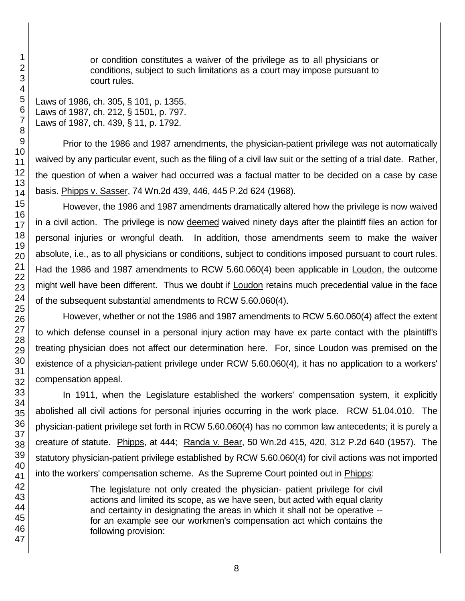or condition constitutes a waiver of the privilege as to all physicians or conditions, subject to such limitations as a court may impose pursuant to court rules.

Laws of 1986, ch. 305, § 101, p. 1355. Laws of 1987, ch. 212, § 1501, p. 797. Laws of 1987, ch. 439, § 11, p. 1792.

Prior to the 1986 and 1987 amendments, the physician-patient privilege was not automatically waived by any particular event, such as the filing of a civil law suit or the setting of a trial date. Rather, the question of when a waiver had occurred was a factual matter to be decided on a case by case basis. Phipps v. Sasser, 74 Wn.2d 439, 446, 445 P.2d 624 (1968).

However, the 1986 and 1987 amendments dramatically altered how the privilege is now waived in a civil action. The privilege is now deemed waived ninety days after the plaintiff files an action for personal injuries or wrongful death. In addition, those amendments seem to make the waiver absolute, i.e., as to all physicians or conditions, subject to conditions imposed pursuant to court rules. Had the 1986 and 1987 amendments to RCW 5.60.060(4) been applicable in Loudon, the outcome might well have been different. Thus we doubt if Loudon retains much precedential value in the face of the subsequent substantial amendments to RCW 5.60.060(4).

However, whether or not the 1986 and 1987 amendments to RCW 5.60.060(4) affect the extent to which defense counsel in a personal injury action may have ex parte contact with the plaintiff's treating physician does not affect our determination here. For, since Loudon was premised on the existence of a physician-patient privilege under RCW 5.60.060(4), it has no application to a workers' compensation appeal.

In 1911, when the Legislature established the workers' compensation system, it explicitly abolished all civil actions for personal injuries occurring in the work place. RCW 51.04.010. The physician-patient privilege set forth in RCW 5.60.060(4) has no common law antecedents; it is purely a creature of statute. Phipps, at 444; Randa v. Bear, 50 Wn.2d 415, 420, 312 P.2d 640 (1957). The statutory physician-patient privilege established by RCW 5.60.060(4) for civil actions was not imported into the workers' compensation scheme. As the Supreme Court pointed out in Phipps:

> The legislature not only created the physician- patient privilege for civil actions and limited its scope, as we have seen, but acted with equal clarity and certainty in designating the areas in which it shall not be operative - for an example see our workmen's compensation act which contains the following provision: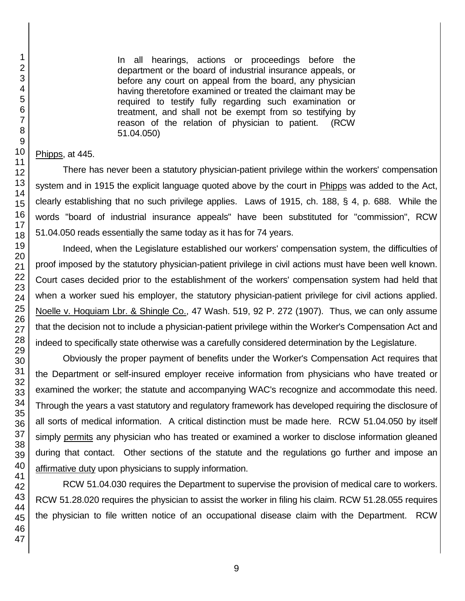1

In all hearings, actions or proceedings before the department or the board of industrial insurance appeals, or before any court on appeal from the board, any physician having theretofore examined or treated the claimant may be required to testify fully regarding such examination or treatment, and shall not be exempt from so testifying by reason of the relation of physician to patient. (RCW 51.04.050)

Phipps, at 445.

There has never been a statutory physician-patient privilege within the workers' compensation system and in 1915 the explicit language quoted above by the court in Phipps was added to the Act, clearly establishing that no such privilege applies. Laws of 1915, ch. 188, § 4, p. 688. While the words "board of industrial insurance appeals" have been substituted for "commission", RCW 51.04.050 reads essentially the same today as it has for 74 years.

Indeed, when the Legislature established our workers' compensation system, the difficulties of proof imposed by the statutory physician-patient privilege in civil actions must have been well known. Court cases decided prior to the establishment of the workers' compensation system had held that when a worker sued his employer, the statutory physician-patient privilege for civil actions applied. Noelle v. Hoquiam Lbr. & Shingle Co., 47 Wash. 519, 92 P. 272 (1907). Thus, we can only assume that the decision not to include a physician-patient privilege within the Worker's Compensation Act and indeed to specifically state otherwise was a carefully considered determination by the Legislature.

Obviously the proper payment of benefits under the Worker's Compensation Act requires that the Department or self-insured employer receive information from physicians who have treated or examined the worker; the statute and accompanying WAC's recognize and accommodate this need. Through the years a vast statutory and regulatory framework has developed requiring the disclosure of all sorts of medical information. A critical distinction must be made here. RCW 51.04.050 by itself simply permits any physician who has treated or examined a worker to disclose information gleaned during that contact. Other sections of the statute and the regulations go further and impose an affirmative duty upon physicians to supply information.

RCW 51.04.030 requires the Department to supervise the provision of medical care to workers. RCW 51.28.020 requires the physician to assist the worker in filing his claim. RCW 51.28.055 requires the physician to file written notice of an occupational disease claim with the Department. RCW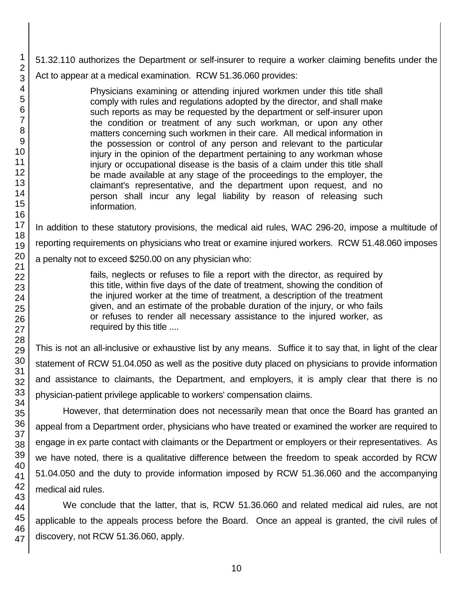51.32.110 authorizes the Department or self-insurer to require a worker claiming benefits under the Act to appear at a medical examination. RCW 51.36.060 provides:

> Physicians examining or attending injured workmen under this title shall comply with rules and regulations adopted by the director, and shall make such reports as may be requested by the department or self-insurer upon the condition or treatment of any such workman, or upon any other matters concerning such workmen in their care. All medical information in the possession or control of any person and relevant to the particular injury in the opinion of the department pertaining to any workman whose injury or occupational disease is the basis of a claim under this title shall be made available at any stage of the proceedings to the employer, the claimant's representative, and the department upon request, and no person shall incur any legal liability by reason of releasing such information.

In addition to these statutory provisions, the medical aid rules, WAC 296-20, impose a multitude of reporting requirements on physicians who treat or examine injured workers. RCW 51.48.060 imposes a penalty not to exceed \$250.00 on any physician who:

> fails, neglects or refuses to file a report with the director, as required by this title, within five days of the date of treatment, showing the condition of the injured worker at the time of treatment, a description of the treatment given, and an estimate of the probable duration of the injury, or who fails or refuses to render all necessary assistance to the injured worker, as required by this title ....

This is not an all-inclusive or exhaustive list by any means. Suffice it to say that, in light of the clear statement of RCW 51.04.050 as well as the positive duty placed on physicians to provide information and assistance to claimants, the Department, and employers, it is amply clear that there is no physician-patient privilege applicable to workers' compensation claims.

However, that determination does not necessarily mean that once the Board has granted an appeal from a Department order, physicians who have treated or examined the worker are required to engage in ex parte contact with claimants or the Department or employers or their representatives. As we have noted, there is a qualitative difference between the freedom to speak accorded by RCW 51.04.050 and the duty to provide information imposed by RCW 51.36.060 and the accompanying medical aid rules.

We conclude that the latter, that is, RCW 51.36.060 and related medical aid rules, are not applicable to the appeals process before the Board. Once an appeal is granted, the civil rules of discovery, not RCW 51.36.060, apply.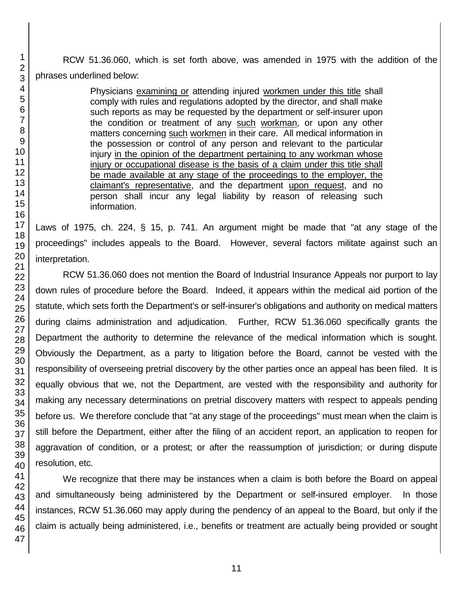RCW 51.36.060, which is set forth above, was amended in 1975 with the addition of the phrases underlined below:

> Physicians examining or attending injured workmen under this title shall comply with rules and regulations adopted by the director, and shall make such reports as may be requested by the department or self-insurer upon the condition or treatment of any such workman, or upon any other matters concerning such workmen in their care. All medical information in the possession or control of any person and relevant to the particular injury in the opinion of the department pertaining to any workman whose injury or occupational disease is the basis of a claim under this title shall be made available at any stage of the proceedings to the employer, the claimant's representative, and the department upon request, and no person shall incur any legal liability by reason of releasing such information.

Laws of 1975, ch. 224, § 15, p. 741. An argument might be made that "at any stage of the proceedings" includes appeals to the Board. However, several factors militate against such an interpretation.

RCW 51.36.060 does not mention the Board of Industrial Insurance Appeals nor purport to lay down rules of procedure before the Board. Indeed, it appears within the medical aid portion of the statute, which sets forth the Department's or self-insurer's obligations and authority on medical matters during claims administration and adjudication. Further, RCW 51.36.060 specifically grants the Department the authority to determine the relevance of the medical information which is sought. Obviously the Department, as a party to litigation before the Board, cannot be vested with the responsibility of overseeing pretrial discovery by the other parties once an appeal has been filed. It is equally obvious that we, not the Department, are vested with the responsibility and authority for making any necessary determinations on pretrial discovery matters with respect to appeals pending before us. We therefore conclude that "at any stage of the proceedings" must mean when the claim is still before the Department, either after the filing of an accident report, an application to reopen for aggravation of condition, or a protest; or after the reassumption of jurisdiction; or during dispute resolution, etc.

We recognize that there may be instances when a claim is both before the Board on appeal and simultaneously being administered by the Department or self-insured employer. In those instances, RCW 51.36.060 may apply during the pendency of an appeal to the Board, but only if the claim is actually being administered, i.e., benefits or treatment are actually being provided or sought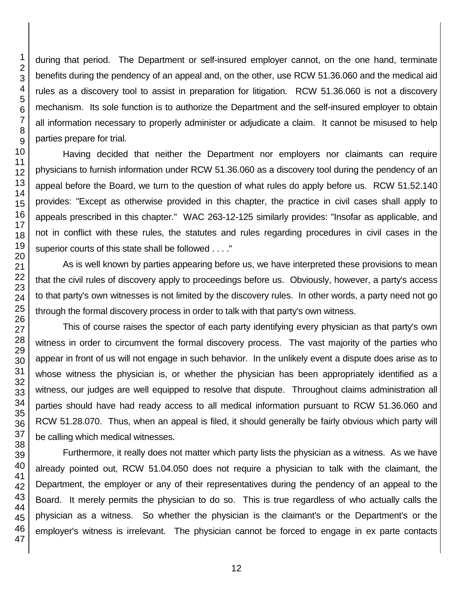during that period. The Department or self-insured employer cannot, on the one hand, terminate benefits during the pendency of an appeal and, on the other, use RCW 51.36.060 and the medical aid rules as a discovery tool to assist in preparation for litigation. RCW 51.36.060 is not a discovery mechanism. Its sole function is to authorize the Department and the self-insured employer to obtain all information necessary to properly administer or adjudicate a claim. It cannot be misused to help parties prepare for trial.

Having decided that neither the Department nor employers nor claimants can require physicians to furnish information under RCW 51.36.060 as a discovery tool during the pendency of an appeal before the Board, we turn to the question of what rules do apply before us. RCW 51.52.140 provides: "Except as otherwise provided in this chapter, the practice in civil cases shall apply to appeals prescribed in this chapter." WAC 263-12-125 similarly provides: "Insofar as applicable, and not in conflict with these rules, the statutes and rules regarding procedures in civil cases in the superior courts of this state shall be followed . . . ."

As is well known by parties appearing before us, we have interpreted these provisions to mean that the civil rules of discovery apply to proceedings before us. Obviously, however, a party's access to that party's own witnesses is not limited by the discovery rules. In other words, a party need not go through the formal discovery process in order to talk with that party's own witness.

This of course raises the spector of each party identifying every physician as that party's own witness in order to circumvent the formal discovery process. The vast majority of the parties who appear in front of us will not engage in such behavior. In the unlikely event a dispute does arise as to whose witness the physician is, or whether the physician has been appropriately identified as a witness, our judges are well equipped to resolve that dispute. Throughout claims administration all parties should have had ready access to all medical information pursuant to RCW 51.36.060 and RCW 51.28.070. Thus, when an appeal is filed, it should generally be fairly obvious which party will be calling which medical witnesses.

Furthermore, it really does not matter which party lists the physician as a witness. As we have already pointed out, RCW 51.04.050 does not require a physician to talk with the claimant, the Department, the employer or any of their representatives during the pendency of an appeal to the Board. It merely permits the physician to do so. This is true regardless of who actually calls the physician as a witness. So whether the physician is the claimant's or the Department's or the employer's witness is irrelevant. The physician cannot be forced to engage in ex parte contacts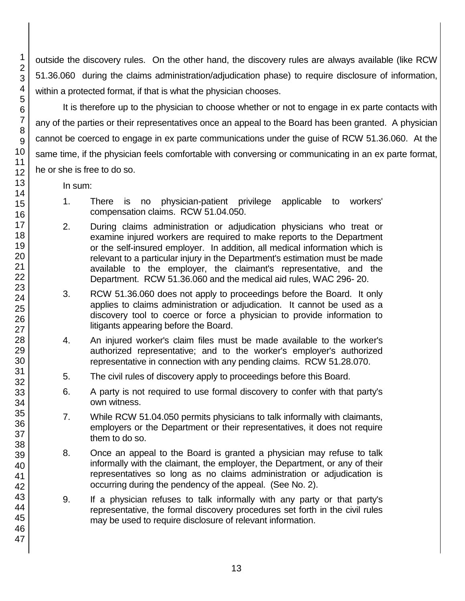outside the discovery rules. On the other hand, the discovery rules are always available (like RCW 51.36.060 during the claims administration/adjudication phase) to require disclosure of information, within a protected format, if that is what the physician chooses.

It is therefore up to the physician to choose whether or not to engage in ex parte contacts with any of the parties or their representatives once an appeal to the Board has been granted. A physician cannot be coerced to engage in ex parte communications under the guise of RCW 51.36.060. At the same time, if the physician feels comfortable with conversing or communicating in an ex parte format, he or she is free to do so.

In sum:

- 1. There is no physician-patient privilege applicable to workers' compensation claims. RCW 51.04.050.
- 2. During claims administration or adjudication physicians who treat or examine injured workers are required to make reports to the Department or the self-insured employer. In addition, all medical information which is relevant to a particular injury in the Department's estimation must be made available to the employer, the claimant's representative, and the Department. RCW 51.36.060 and the medical aid rules, WAC 296- 20.
- 3. RCW 51.36.060 does not apply to proceedings before the Board. It only applies to claims administration or adjudication. It cannot be used as a discovery tool to coerce or force a physician to provide information to litigants appearing before the Board.
- 4. An injured worker's claim files must be made available to the worker's authorized representative; and to the worker's employer's authorized representative in connection with any pending claims. RCW 51.28.070.
- 5. The civil rules of discovery apply to proceedings before this Board.
- 6. A party is not required to use formal discovery to confer with that party's own witness.
- 7. While RCW 51.04.050 permits physicians to talk informally with claimants, employers or the Department or their representatives, it does not require them to do so.
- 8. Once an appeal to the Board is granted a physician may refuse to talk informally with the claimant, the employer, the Department, or any of their representatives so long as no claims administration or adjudication is occurring during the pendency of the appeal. (See No. 2).
- 9. If a physician refuses to talk informally with any party or that party's representative, the formal discovery procedures set forth in the civil rules may be used to require disclosure of relevant information.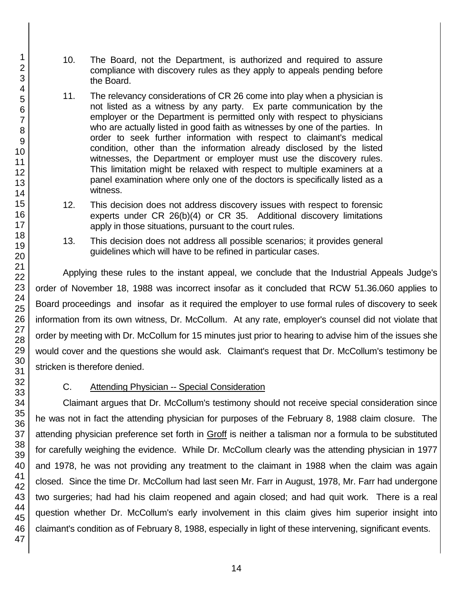- 10. The Board, not the Department, is authorized and required to assure compliance with discovery rules as they apply to appeals pending before the Board.
- 11. The relevancy considerations of CR 26 come into play when a physician is not listed as a witness by any party. Ex parte communication by the employer or the Department is permitted only with respect to physicians who are actually listed in good faith as witnesses by one of the parties. In order to seek further information with respect to claimant's medical condition, other than the information already disclosed by the listed witnesses, the Department or employer must use the discovery rules. This limitation might be relaxed with respect to multiple examiners at a panel examination where only one of the doctors is specifically listed as a witness.
- 12. This decision does not address discovery issues with respect to forensic experts under CR 26(b)(4) or CR 35. Additional discovery limitations apply in those situations, pursuant to the court rules.
- 13. This decision does not address all possible scenarios; it provides general guidelines which will have to be refined in particular cases.

Applying these rules to the instant appeal, we conclude that the Industrial Appeals Judge's order of November 18, 1988 was incorrect insofar as it concluded that RCW 51.36.060 applies to Board proceedings and insofar as it required the employer to use formal rules of discovery to seek information from its own witness, Dr. McCollum. At any rate, employer's counsel did not violate that order by meeting with Dr. McCollum for 15 minutes just prior to hearing to advise him of the issues she would cover and the questions she would ask. Claimant's request that Dr. McCollum's testimony be stricken is therefore denied.

## C. Attending Physician -- Special Consideration

Claimant argues that Dr. McCollum's testimony should not receive special consideration since he was not in fact the attending physician for purposes of the February 8, 1988 claim closure. The attending physician preference set forth in Groff is neither a talisman nor a formula to be substituted for carefully weighing the evidence. While Dr. McCollum clearly was the attending physician in 1977 and 1978, he was not providing any treatment to the claimant in 1988 when the claim was again closed. Since the time Dr. McCollum had last seen Mr. Farr in August, 1978, Mr. Farr had undergone two surgeries; had had his claim reopened and again closed; and had quit work. There is a real question whether Dr. McCollum's early involvement in this claim gives him superior insight into claimant's condition as of February 8, 1988, especially in light of these intervening, significant events.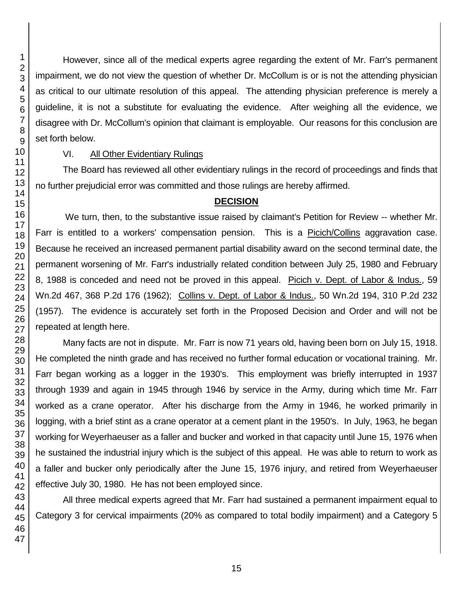However, since all of the medical experts agree regarding the extent of Mr. Farr's permanent impairment, we do not view the question of whether Dr. McCollum is or is not the attending physician as critical to our ultimate resolution of this appeal. The attending physician preference is merely a guideline, it is not a substitute for evaluating the evidence. After weighing all the evidence, we disagree with Dr. McCollum's opinion that claimant is employable. Our reasons for this conclusion are set forth below.

### VI. All Other Evidentiary Rulings

The Board has reviewed all other evidentiary rulings in the record of proceedings and finds that no further prejudicial error was committed and those rulings are hereby affirmed.

# **DECISION**

We turn, then, to the substantive issue raised by claimant's Petition for Review -- whether Mr. Farr is entitled to a workers' compensation pension. This is a Picich/Collins aggravation case. Because he received an increased permanent partial disability award on the second terminal date, the permanent worsening of Mr. Farr's industrially related condition between July 25, 1980 and February 8, 1988 is conceded and need not be proved in this appeal. Picich v. Dept. of Labor & Indus., 59 Wn.2d 467, 368 P.2d 176 (1962); Collins v. Dept. of Labor & Indus., 50 Wn.2d 194, 310 P.2d 232 (1957). The evidence is accurately set forth in the Proposed Decision and Order and will not be repeated at length here.

Many facts are not in dispute. Mr. Farr is now 71 years old, having been born on July 15, 1918. He completed the ninth grade and has received no further formal education or vocational training. Mr. Farr began working as a logger in the 1930's. This employment was briefly interrupted in 1937 through 1939 and again in 1945 through 1946 by service in the Army, during which time Mr. Farr worked as a crane operator. After his discharge from the Army in 1946, he worked primarily in logging, with a brief stint as a crane operator at a cement plant in the 1950's. In July, 1963, he began working for Weyerhaeuser as a faller and bucker and worked in that capacity until June 15, 1976 when he sustained the industrial injury which is the subject of this appeal. He was able to return to work as a faller and bucker only periodically after the June 15, 1976 injury, and retired from Weyerhaeuser effective July 30, 1980. He has not been employed since.

All three medical experts agreed that Mr. Farr had sustained a permanent impairment equal to Category 3 for cervical impairments (20% as compared to total bodily impairment) and a Category 5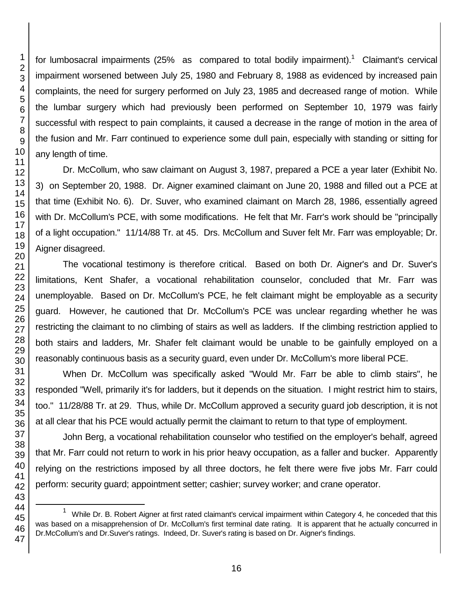46 47

for lumbosacral impairments (25% as compared to total bodily impairment).<sup>1</sup> Claimant's cervical impairment worsened between July 25, 1980 and February 8, 1988 as evidenced by increased pain complaints, the need for surgery performed on July 23, 1985 and decreased range of motion. While the lumbar surgery which had previously been performed on September 10, 1979 was fairly successful with respect to pain complaints, it caused a decrease in the range of motion in the area of the fusion and Mr. Farr continued to experience some dull pain, especially with standing or sitting for any length of time.

Dr. McCollum, who saw claimant on August 3, 1987, prepared a PCE a year later (Exhibit No. 3) on September 20, 1988. Dr. Aigner examined claimant on June 20, 1988 and filled out a PCE at that time (Exhibit No. 6). Dr. Suver, who examined claimant on March 28, 1986, essentially agreed with Dr. McCollum's PCE, with some modifications. He felt that Mr. Farr's work should be "principally of a light occupation." 11/14/88 Tr. at 45. Drs. McCollum and Suver felt Mr. Farr was employable; Dr. Aigner disagreed.

The vocational testimony is therefore critical. Based on both Dr. Aigner's and Dr. Suver's limitations, Kent Shafer, a vocational rehabilitation counselor, concluded that Mr. Farr was unemployable. Based on Dr. McCollum's PCE, he felt claimant might be employable as a security guard. However, he cautioned that Dr. McCollum's PCE was unclear regarding whether he was restricting the claimant to no climbing of stairs as well as ladders. If the climbing restriction applied to both stairs and ladders, Mr. Shafer felt claimant would be unable to be gainfully employed on a reasonably continuous basis as a security guard, even under Dr. McCollum's more liberal PCE.

When Dr. McCollum was specifically asked "Would Mr. Farr be able to climb stairs", he responded "Well, primarily it's for ladders, but it depends on the situation. I might restrict him to stairs, too." 11/28/88 Tr. at 29. Thus, while Dr. McCollum approved a security guard job description, it is not at all clear that his PCE would actually permit the claimant to return to that type of employment.

John Berg, a vocational rehabilitation counselor who testified on the employer's behalf, agreed that Mr. Farr could not return to work in his prior heavy occupation, as a faller and bucker. Apparently relying on the restrictions imposed by all three doctors, he felt there were five jobs Mr. Farr could perform: security guard; appointment setter; cashier; survey worker; and crane operator.

<sup>&</sup>lt;sup>1</sup> While Dr. B. Robert Aigner at first rated claimant's cervical impairment within Category 4, he conceded that this was based on a misapprehension of Dr. McCollum's first terminal date rating. It is apparent that he actually concurred in Dr.McCollum's and Dr.Suver's ratings. Indeed, Dr. Suver's rating is based on Dr. Aigner's findings.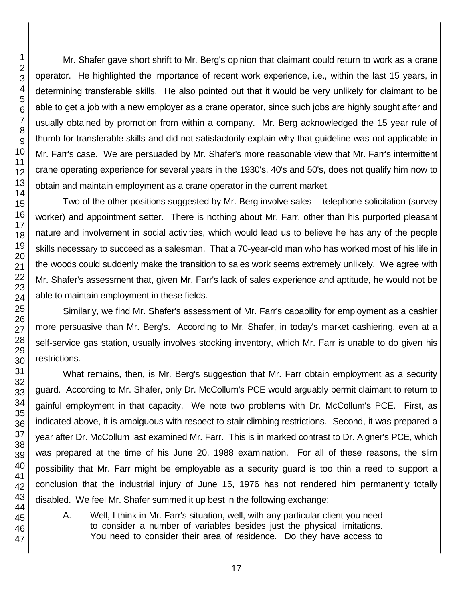Mr. Shafer gave short shrift to Mr. Berg's opinion that claimant could return to work as a crane operator. He highlighted the importance of recent work experience, i.e., within the last 15 years, in determining transferable skills. He also pointed out that it would be very unlikely for claimant to be able to get a job with a new employer as a crane operator, since such jobs are highly sought after and usually obtained by promotion from within a company. Mr. Berg acknowledged the 15 year rule of thumb for transferable skills and did not satisfactorily explain why that guideline was not applicable in Mr. Farr's case. We are persuaded by Mr. Shafer's more reasonable view that Mr. Farr's intermittent crane operating experience for several years in the 1930's, 40's and 50's, does not qualify him now to obtain and maintain employment as a crane operator in the current market.

Two of the other positions suggested by Mr. Berg involve sales -- telephone solicitation (survey worker) and appointment setter. There is nothing about Mr. Farr, other than his purported pleasant nature and involvement in social activities, which would lead us to believe he has any of the people skills necessary to succeed as a salesman. That a 70-year-old man who has worked most of his life in the woods could suddenly make the transition to sales work seems extremely unlikely. We agree with Mr. Shafer's assessment that, given Mr. Farr's lack of sales experience and aptitude, he would not be able to maintain employment in these fields.

Similarly, we find Mr. Shafer's assessment of Mr. Farr's capability for employment as a cashier more persuasive than Mr. Berg's. According to Mr. Shafer, in today's market cashiering, even at a self-service gas station, usually involves stocking inventory, which Mr. Farr is unable to do given his restrictions.

What remains, then, is Mr. Berg's suggestion that Mr. Farr obtain employment as a security guard. According to Mr. Shafer, only Dr. McCollum's PCE would arguably permit claimant to return to gainful employment in that capacity. We note two problems with Dr. McCollum's PCE. First, as indicated above, it is ambiguous with respect to stair climbing restrictions. Second, it was prepared a year after Dr. McCollum last examined Mr. Farr. This is in marked contrast to Dr. Aigner's PCE, which was prepared at the time of his June 20, 1988 examination. For all of these reasons, the slim possibility that Mr. Farr might be employable as a security guard is too thin a reed to support a conclusion that the industrial injury of June 15, 1976 has not rendered him permanently totally disabled. We feel Mr. Shafer summed it up best in the following exchange:

A. Well, I think in Mr. Farr's situation, well, with any particular client you need to consider a number of variables besides just the physical limitations. You need to consider their area of residence. Do they have access to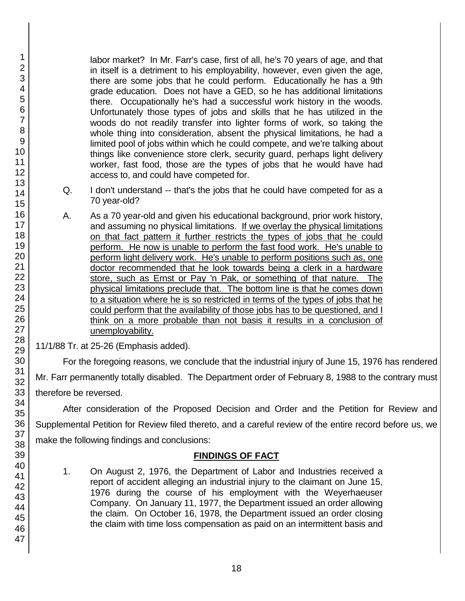labor market? In Mr. Farr's case, first of all, he's 70 years of age, and that in itself is a detriment to his employability, however, even given the age, there are some jobs that he could perform. Educationally he has a 9th grade education. Does not have a GED, so he has additional limitations there. Occupationally he's had a successful work history in the woods. Unfortunately those types of jobs and skills that he has utilized in the woods do not readily transfer into lighter forms of work, so taking the whole thing into consideration, absent the physical limitations, he had a limited pool of jobs within which he could compete, and we're talking about things like convenience store clerk, security guard, perhaps light delivery worker, fast food, those are the types of jobs that he would have had access to, and could have competed for.

- Q. I don't understand -- that's the jobs that he could have competed for as a 70 year-old?
- A. As a 70 year-old and given his educational background, prior work history, and assuming no physical limitations. If we overlay the physical limitations on that fact pattern it further restricts the types of jobs that he could perform. He now is unable to perform the fast food work. He's unable to perform light delivery work. He's unable to perform positions such as, one doctor recommended that he look towards being a clerk in a hardware store, such as Ernst or Pay 'n Pak, or something of that nature. The physical limitations preclude that. The bottom line is that he comes down to a situation where he is so restricted in terms of the types of jobs that he could perform that the availability of those jobs has to be questioned, and I think on a more probable than not basis it results in a conclusion of unemployability.
- 11/1/88 Tr. at 25-26 (Emphasis added).

For the foregoing reasons, we conclude that the industrial injury of June 15, 1976 has rendered Mr. Farr permanently totally disabled. The Department order of February 8, 1988 to the contrary must therefore be reversed.

After consideration of the Proposed Decision and Order and the Petition for Review and Supplemental Petition for Review filed thereto, and a careful review of the entire record before us, we make the following findings and conclusions:

# **FINDINGS OF FACT**

- 1. On August 2, 1976, the Department of Labor and Industries received a report of accident alleging an industrial injury to the claimant on June 15, 1976 during the course of his employment with the Weyerhaeuser Company. On January 11, 1977, the Department issued an order allowing the claim. On October 16, 1978, the Department issued an order closing the claim with time loss compensation as paid on an intermittent basis and
- 2 3 4 5 6 7 8 9 10 11 12 13 14 15 16 17 18 19 20 21 22 23 24 25 26 27 28 29 30 31 32 33 34 35 36 37 38 39 40 41 42 43 44 45 46 47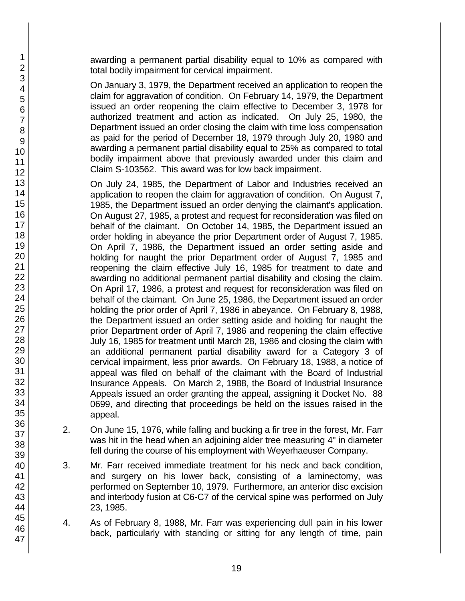awarding a permanent partial disability equal to 10% as compared with total bodily impairment for cervical impairment.

On January 3, 1979, the Department received an application to reopen the claim for aggravation of condition. On February 14, 1979, the Department issued an order reopening the claim effective to December 3, 1978 for authorized treatment and action as indicated. On July 25, 1980, the Department issued an order closing the claim with time loss compensation as paid for the period of December 18, 1979 through July 20, 1980 and awarding a permanent partial disability equal to 25% as compared to total bodily impairment above that previously awarded under this claim and Claim S-103562. This award was for low back impairment.

On July 24, 1985, the Department of Labor and Industries received an application to reopen the claim for aggravation of condition. On August 7, 1985, the Department issued an order denying the claimant's application. On August 27, 1985, a protest and request for reconsideration was filed on behalf of the claimant. On October 14, 1985, the Department issued an order holding in abeyance the prior Department order of August 7, 1985. On April 7, 1986, the Department issued an order setting aside and holding for naught the prior Department order of August 7, 1985 and reopening the claim effective July 16, 1985 for treatment to date and awarding no additional permanent partial disability and closing the claim. On April 17, 1986, a protest and request for reconsideration was filed on behalf of the claimant. On June 25, 1986, the Department issued an order holding the prior order of April 7, 1986 in abeyance. On February 8, 1988, the Department issued an order setting aside and holding for naught the prior Department order of April 7, 1986 and reopening the claim effective July 16, 1985 for treatment until March 28, 1986 and closing the claim with an additional permanent partial disability award for a Category 3 of cervical impairment, less prior awards. On February 18, 1988, a notice of appeal was filed on behalf of the claimant with the Board of Industrial Insurance Appeals. On March 2, 1988, the Board of Industrial Insurance Appeals issued an order granting the appeal, assigning it Docket No. 88 0699, and directing that proceedings be held on the issues raised in the appeal.

- 2. On June 15, 1976, while falling and bucking a fir tree in the forest, Mr. Farr was hit in the head when an adjoining alder tree measuring 4" in diameter fell during the course of his employment with Weyerhaeuser Company.
- 3. Mr. Farr received immediate treatment for his neck and back condition, and surgery on his lower back, consisting of a laminectomy, was performed on September 10, 1979. Furthermore, an anterior disc excision and interbody fusion at C6-C7 of the cervical spine was performed on July 23, 1985.
- 4. As of February 8, 1988, Mr. Farr was experiencing dull pain in his lower back, particularly with standing or sitting for any length of time, pain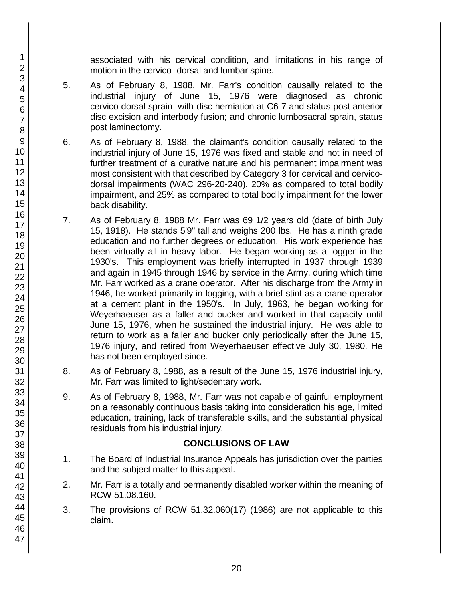associated with his cervical condition, and limitations in his range of motion in the cervico- dorsal and lumbar spine.

- 5. As of February 8, 1988, Mr. Farr's condition causally related to the industrial injury of June 15, 1976 were diagnosed as chronic cervico-dorsal sprain with disc herniation at C6-7 and status post anterior disc excision and interbody fusion; and chronic lumbosacral sprain, status post laminectomy.
- 6. As of February 8, 1988, the claimant's condition causally related to the industrial injury of June 15, 1976 was fixed and stable and not in need of further treatment of a curative nature and his permanent impairment was most consistent with that described by Category 3 for cervical and cervicodorsal impairments (WAC 296-20-240), 20% as compared to total bodily impairment, and 25% as compared to total bodily impairment for the lower back disability.
- 7. As of February 8, 1988 Mr. Farr was 69 1/2 years old (date of birth July 15, 1918). He stands 5'9" tall and weighs 200 lbs. He has a ninth grade education and no further degrees or education. His work experience has been virtually all in heavy labor. He began working as a logger in the 1930's. This employment was briefly interrupted in 1937 through 1939 and again in 1945 through 1946 by service in the Army, during which time Mr. Farr worked as a crane operator. After his discharge from the Army in 1946, he worked primarily in logging, with a brief stint as a crane operator at a cement plant in the 1950's. In July, 1963, he began working for Weyerhaeuser as a faller and bucker and worked in that capacity until June 15, 1976, when he sustained the industrial injury. He was able to return to work as a faller and bucker only periodically after the June 15, 1976 injury, and retired from Weyerhaeuser effective July 30, 1980. He has not been employed since.
- 8. As of February 8, 1988, as a result of the June 15, 1976 industrial injury, Mr. Farr was limited to light/sedentary work.
- 9. As of February 8, 1988, Mr. Farr was not capable of gainful employment on a reasonably continuous basis taking into consideration his age, limited education, training, lack of transferable skills, and the substantial physical residuals from his industrial injury.

## **CONCLUSIONS OF LAW**

- 1. The Board of Industrial Insurance Appeals has jurisdiction over the parties and the subject matter to this appeal.
- 2. Mr. Farr is a totally and permanently disabled worker within the meaning of RCW 51.08.160.
- 3. The provisions of RCW 51.32.060(17) (1986) are not applicable to this claim.